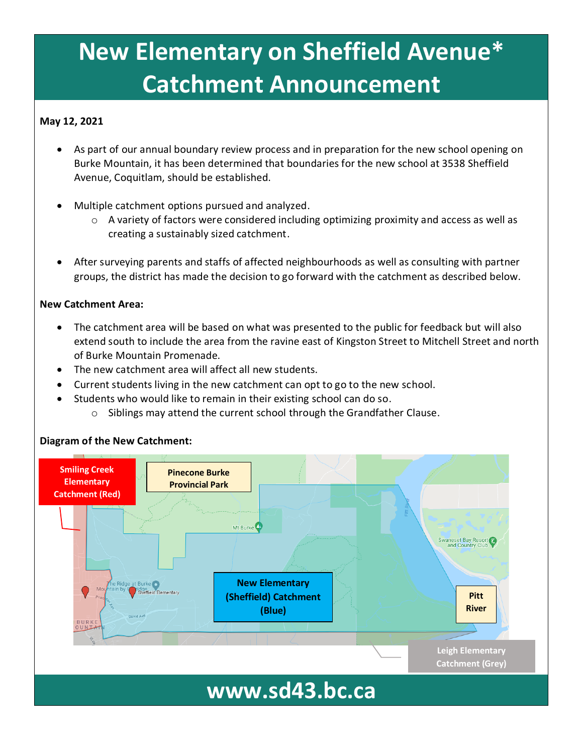## **New Elementary on Sheffield Avenue\* Catchment Announcement**

#### **May 12, 2021**

- As part of our annual boundary review process and in preparation for the new school opening on Burke Mountain, it has been determined that boundaries for the new school at 3538 Sheffield Avenue, Coquitlam, should be established.
- Multiple catchment options pursued and analyzed.
	- o A variety of factors were considered including optimizing proximity and access as well as creating a sustainably sized catchment.
- After surveying parents and staffs of affected neighbourhoods as well as consulting with partner groups, the district has made the decision to go forward with the catchment as described below.

#### **New Catchment Area:**

- The catchment area will be based on what was presented to the public for feedback but will also extend south to include the area from the ravine east of Kingston Street to Mitchell Street and north of Burke Mountain Promenade.
- The new catchment area will affect all new students.
- Current students living in the new catchment can opt to go to the new school.
- Students who would like to remain in their existing school can do so.
	- o Siblings may attend the current school through the Grandfather Clause.

#### **Diagram of the New Catchment:**